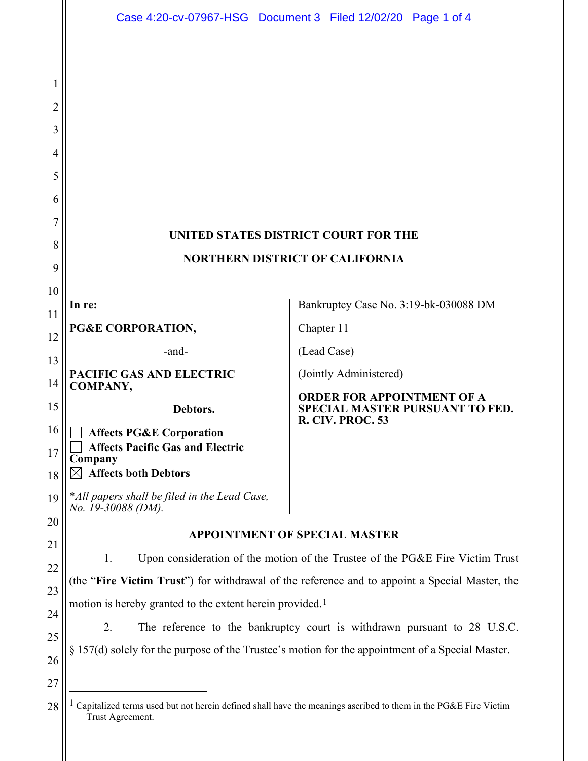|                     |                                                                                                                                    | Case 4:20-cv-07967-HSG  Document 3  Filed 12/02/20  Page 1 of 4          |  |  |  |
|---------------------|------------------------------------------------------------------------------------------------------------------------------------|--------------------------------------------------------------------------|--|--|--|
|                     |                                                                                                                                    |                                                                          |  |  |  |
|                     |                                                                                                                                    |                                                                          |  |  |  |
| 1<br>$\overline{2}$ |                                                                                                                                    |                                                                          |  |  |  |
| 3                   |                                                                                                                                    |                                                                          |  |  |  |
| 4                   |                                                                                                                                    |                                                                          |  |  |  |
| 5                   |                                                                                                                                    |                                                                          |  |  |  |
| 6                   |                                                                                                                                    |                                                                          |  |  |  |
| 7                   |                                                                                                                                    |                                                                          |  |  |  |
| 8                   | UNITED STATES DISTRICT COURT FOR THE                                                                                               |                                                                          |  |  |  |
| 9                   | <b>NORTHERN DISTRICT OF CALIFORNIA</b>                                                                                             |                                                                          |  |  |  |
| 10                  | In re:                                                                                                                             | Bankruptcy Case No. 3:19-bk-030088 DM                                    |  |  |  |
| 11                  | PG&E CORPORATION,                                                                                                                  | Chapter 11                                                               |  |  |  |
| 12                  | -and-                                                                                                                              | (Lead Case)                                                              |  |  |  |
| 13                  | <b>PACIFIC GAS AND ELECTRIC</b>                                                                                                    | (Jointly Administered)                                                   |  |  |  |
| 14                  | COMPANY,                                                                                                                           | <b>ORDER FOR APPOINTMENT OF A</b>                                        |  |  |  |
| 15<br>16            | Debtors.                                                                                                                           | SPECIAL MASTER PURSUANT TO FED.<br>R. CIV. PROC. 53                      |  |  |  |
| 17                  | <b>Affects PG&amp;E Corporation</b><br><b>Affects Pacific Gas and Electric</b>                                                     |                                                                          |  |  |  |
| 18                  | Company<br>$\boxtimes$ Affects both Debtors                                                                                        |                                                                          |  |  |  |
| 19                  | *All papers shall be filed in the Lead Case,<br>No. 19-30088 (DM).                                                                 |                                                                          |  |  |  |
| 20                  | <b>APPOINTMENT OF SPECIAL MASTER</b>                                                                                               |                                                                          |  |  |  |
| 21                  | Upon consideration of the motion of the Trustee of the PG&E Fire Victim Trust<br>1.                                                |                                                                          |  |  |  |
| 22                  | (the "Fire Victim Trust") for withdrawal of the reference and to appoint a Special Master, the                                     |                                                                          |  |  |  |
| 23                  | motion is hereby granted to the extent herein provided. <sup>1</sup>                                                               |                                                                          |  |  |  |
| 24<br>25            | 2.                                                                                                                                 | The reference to the bankruptcy court is withdrawn pursuant to 28 U.S.C. |  |  |  |
| 26                  | § 157(d) solely for the purpose of the Trustee's motion for the appointment of a Special Master.                                   |                                                                          |  |  |  |
| 27                  |                                                                                                                                    |                                                                          |  |  |  |
| 28                  | Capitalized terms used but not herein defined shall have the meanings ascribed to them in the PG&E Fire Victim<br>Trust Agreement. |                                                                          |  |  |  |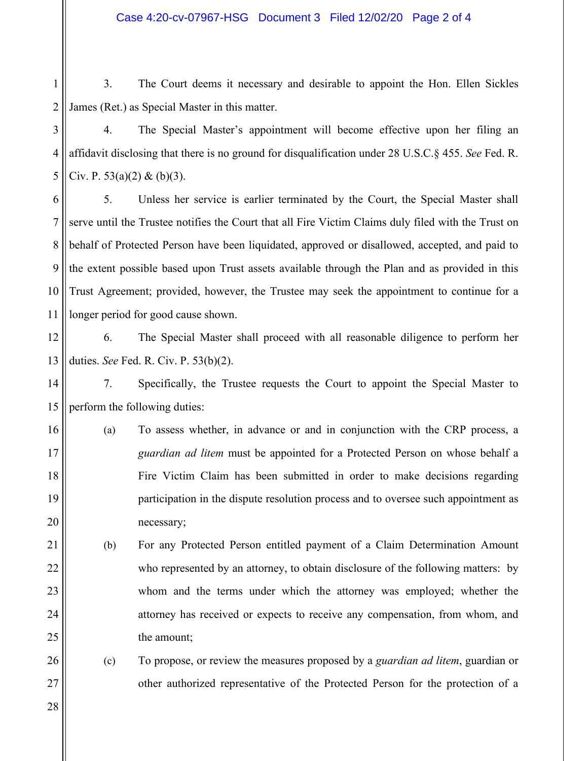2 3. The Court deems it necessary and desirable to appoint the Hon. Ellen Sickles James (Ret.) as Special Master in this matter.

3 4 5 4. The Special Master's appointment will become effective upon her filing an affidavit disclosing that there is no ground for disqualification under 28 U.S.C.§ 455. *See* Fed. R. Civ. P. 53(a)(2) & (b)(3).

6 7 8 9 10 11 5. Unless her service is earlier terminated by the Court, the Special Master shall serve until the Trustee notifies the Court that all Fire Victim Claims duly filed with the Trust on behalf of Protected Person have been liquidated, approved or disallowed, accepted, and paid to the extent possible based upon Trust assets available through the Plan and as provided in this Trust Agreement; provided, however, the Trustee may seek the appointment to continue for a longer period for good cause shown.

12 13 6. The Special Master shall proceed with all reasonable diligence to perform her duties. *See* Fed. R. Civ. P. 53(b)(2).

14 15 7. Specifically, the Trustee requests the Court to appoint the Special Master to perform the following duties:

- 16 17 18 19 20 (a) To assess whether, in advance or and in conjunction with the CRP process, a *guardian ad litem* must be appointed for a Protected Person on whose behalf a Fire Victim Claim has been submitted in order to make decisions regarding participation in the dispute resolution process and to oversee such appointment as necessary;
- 21 22 23 24 25 (b) For any Protected Person entitled payment of a Claim Determination Amount who represented by an attorney, to obtain disclosure of the following matters: by whom and the terms under which the attorney was employed; whether the attorney has received or expects to receive any compensation, from whom, and the amount;
	- (c) To propose, or review the measures proposed by a *guardian ad litem*, guardian or other authorized representative of the Protected Person for the protection of a

26

27

28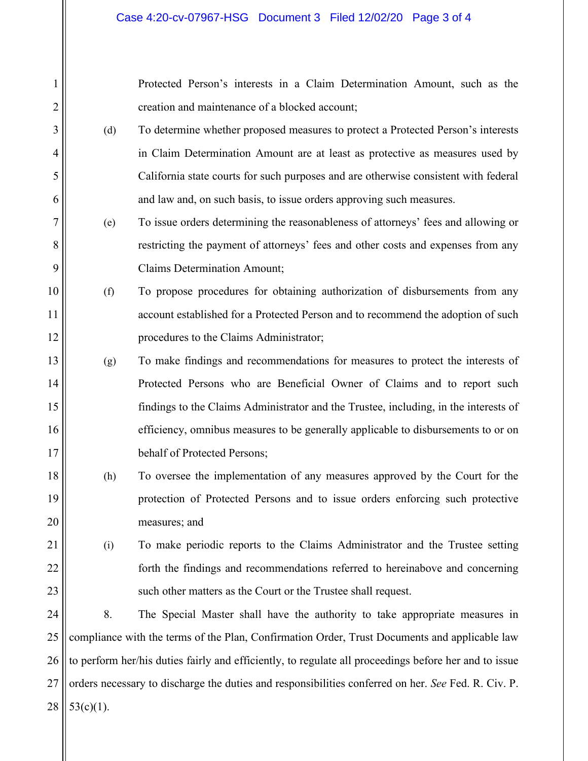Protected Person's interests in a Claim Determination Amount, such as the creation and maintenance of a blocked account;

- (d) To determine whether proposed measures to protect a Protected Person's interests in Claim Determination Amount are at least as protective as measures used by California state courts for such purposes and are otherwise consistent with federal and law and, on such basis, to issue orders approving such measures.
- (e) To issue orders determining the reasonableness of attorneys' fees and allowing or restricting the payment of attorneys' fees and other costs and expenses from any Claims Determination Amount;
- (f) To propose procedures for obtaining authorization of disbursements from any account established for a Protected Person and to recommend the adoption of such procedures to the Claims Administrator;
- (g) To make findings and recommendations for measures to protect the interests of Protected Persons who are Beneficial Owner of Claims and to report such findings to the Claims Administrator and the Trustee, including, in the interests of efficiency, omnibus measures to be generally applicable to disbursements to or on behalf of Protected Persons;
- (h) To oversee the implementation of any measures approved by the Court for the protection of Protected Persons and to issue orders enforcing such protective measures; and
	- (i) To make periodic reports to the Claims Administrator and the Trustee setting forth the findings and recommendations referred to hereinabove and concerning such other matters as the Court or the Trustee shall request.

24 25 26 27 28 8. The Special Master shall have the authority to take appropriate measures in compliance with the terms of the Plan, Confirmation Order, Trust Documents and applicable law to perform her/his duties fairly and efficiently, to regulate all proceedings before her and to issue orders necessary to discharge the duties and responsibilities conferred on her. *See* Fed. R. Civ. P.  $53(c)(1)$ .